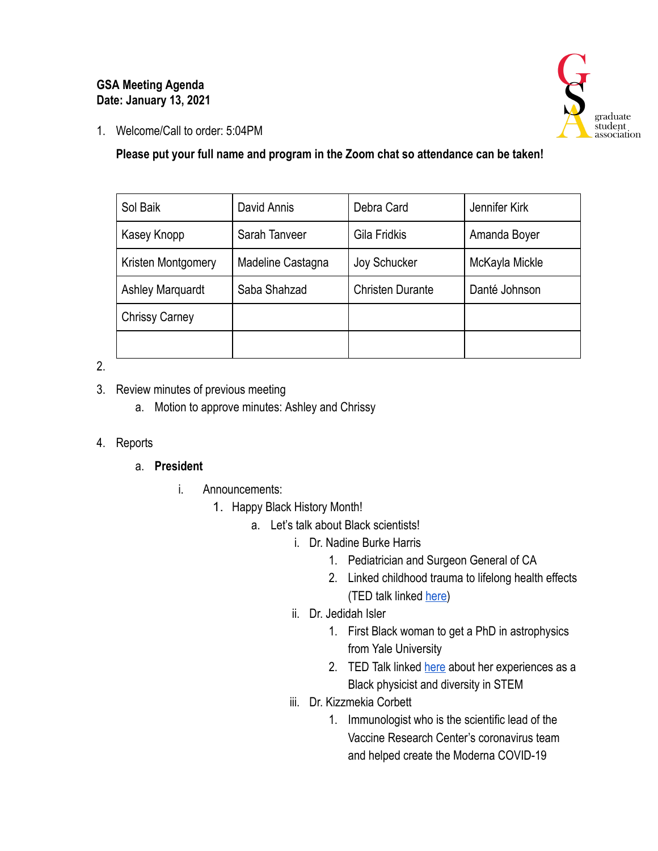### **GSA Meeting Agenda Date: January 13, 2021**



1. Welcome/Call to order: 5:04PM

### **Please put your full name and program in the Zoom chat so attendance can be taken!**

| Sol Baik                | David Annis       | Debra Card              | Jennifer Kirk  |
|-------------------------|-------------------|-------------------------|----------------|
| Kasey Knopp             | Sarah Tanveer     | Gila Fridkis            | Amanda Boyer   |
| Kristen Montgomery      | Madeline Castagna | Joy Schucker            | McKayla Mickle |
| <b>Ashley Marquardt</b> | Saba Shahzad      | <b>Christen Durante</b> | Danté Johnson  |
| <b>Chrissy Carney</b>   |                   |                         |                |
|                         |                   |                         |                |

2.

- 3. Review minutes of previous meeting
	- a. Motion to approve minutes: Ashley and Chrissy

### 4. Reports

# a. **President**

- i. Announcements:
	- 1. Happy Black History Month!
		- a. Let's talk about Black scientists!
			- i. Dr. Nadine Burke Harris
				- 1. Pediatrician and Surgeon General of CA
				- 2. Linked childhood trauma to lifelong health effects (TED talk linked here)
			- ii. Dr. Jedidah Isler
				- 1. First Black woman to get a PhD in astrophysics from Yale University
				- 2. TED Talk linked [here](https://www.ted.com/talks/jedidah_isler_the_untapped_genius_that_could_change_science_for_the_better?utm_campaign=tedspread&utm_medium=referral&utm_source=tedcomshare) about her experiences as a Black physicist and diversity in STEM
			- iii. Dr. Kizzmekia Corbett
				- 1. Immunologist who is the scientific lead of the Vaccine Research Center's coronavirus team and helped create the Moderna COVID-19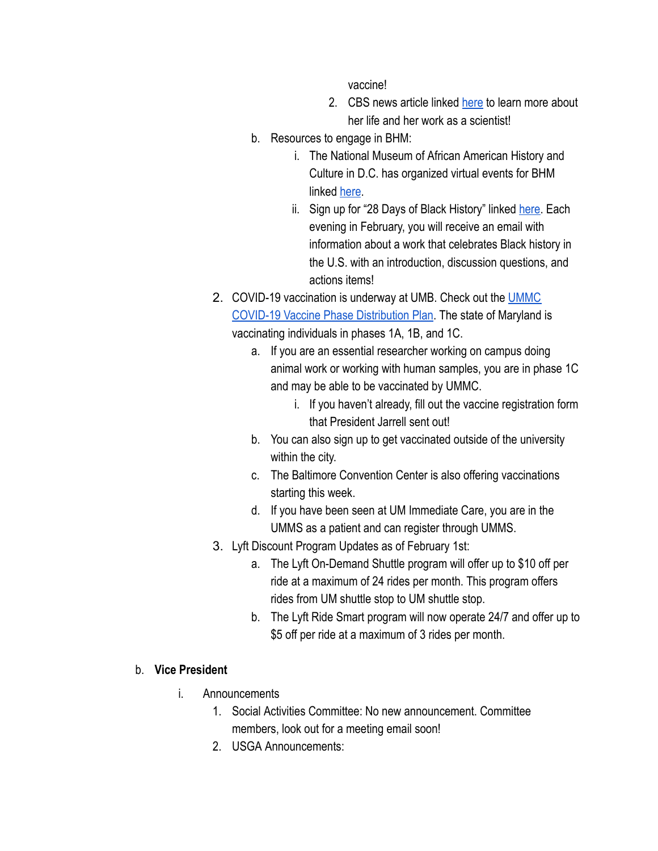vaccine!

- 2. CBS news article linked [here](https://www.cbsnews.com/news/covid-19-vaccine-development-kizzmekia-corbett/) to learn more about her life and her work as a scientist!
- b. Resources to engage in BHM:
	- i. The National Museum of African American History and Culture in D.C. has organized virtual events for BHM linked [here](https://nmaahc.si.edu/events/upcoming).
	- ii. Sign up for "28 Days of Black History" linked here. Each evening in February, you will receive an email with information about a work that celebrates Black history in the U.S. with an introduction, discussion questions, and actions items!
- 2. COVID-19 vaccination is underway at UMB. Check out the UMMC COVID-19 Vaccine Phase Distribution Plan. The state of Maryland is vaccinating individuals in phases 1A, 1B, and 1C.
	- a. If you are an essential researcher working on campus doing animal work or working with human samples, you are in phase 1C and may be able to be vaccinated by UMMC.
		- i. If you haven't already, fill out the vaccine registration form that President Jarrell sent out!
	- b. You can also sign up to get vaccinated outside of the university within the city.
	- c. The Baltimore Convention Center is also offering vaccinations starting this week.
	- d. If you have been seen at UM Immediate Care, you are in the UMMS as a patient and can register through UMMS.
- 3. Lyft Discount Program Updates as of February 1st:
	- a. The Lyft On-Demand Shuttle program will offer up to \$10 off per ride at a maximum of 24 rides per month. This program offers rides from UM shuttle stop to UM shuttle stop.
	- b. The Lyft Ride Smart program will now operate 24/7 and offer up to \$5 off per ride at a maximum of 3 rides per month.

### b. **Vice President**

- i. Announcements
	- 1. Social Activities Committee: No new announcement. Committee members, look out for a meeting email soon!
	- 2. USGA Announcements: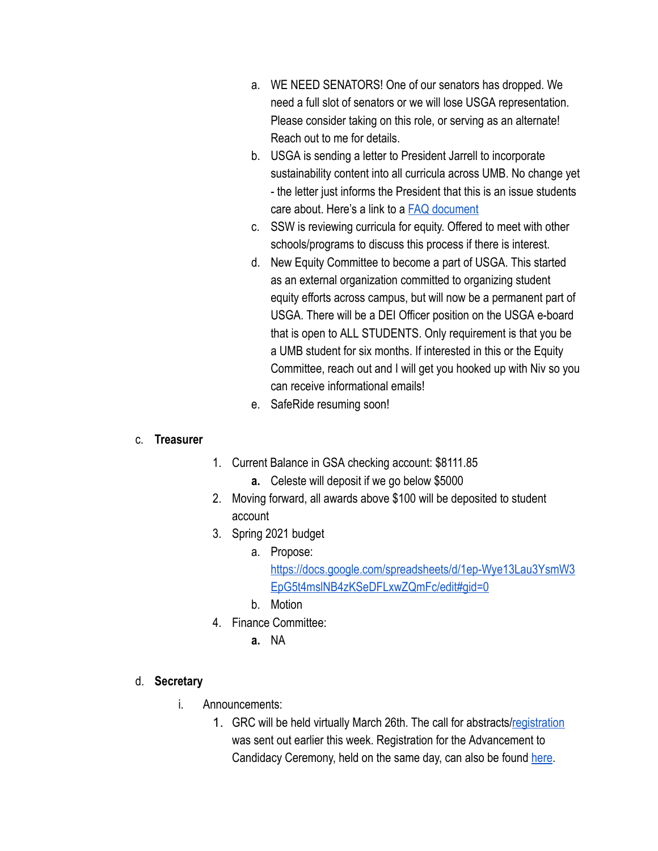- a. WE NEED SENATORS! One of our senators has dropped. We need a full slot of senators or we will lose USGA representation. Please consider taking on this role, or serving as an alternate! Reach out to me for details.
- b. USGA is sending a letter to President Jarrell to incorporate sustainability content into all curricula across UMB. No change yet - the letter just informs the President that this is an issue students care about. Here's a link to a [FAQ document](https://docs.google.com/document/d/1ns6NiemFeUMJKdDOyM2bkHCJpM3v--UjU-2AveOaLmU/edit)
- c. SSW is reviewing curricula for equity. Offered to meet with other schools/programs to discuss this process if there is interest.
- d. New Equity Committee to become a part of USGA. This started as an external organization committed to organizing student equity efforts across campus, but will now be a permanent part of USGA. There will be a DEI Officer position on the USGA e-board that is open to ALL STUDENTS. Only requirement is that you be a UMB student for six months. If interested in this or the Equity Committee, reach out and I will get you hooked up with Niv so you can receive informational emails!
- e. SafeRide resuming soon!

### c. **Treasurer**

- 1. Current Balance in GSA checking account: \$8111.85
	- **a.** Celeste will deposit if we go below \$5000
- 2. Moving forward, all awards above \$100 will be deposited to student account
- 3. Spring 2021 budget
	- a. Propose: [https://docs.google.com/spreadsheets/d/1ep-Wye13Lau3YsmW3](https://docs.google.com/spreadsheets/d/1ep-Wye13Lau3YsmW3EpG5t4mslNB4zKSeDFLxwZQmFc/edit#gid=0)  [EpG5t4mslNB4zKSeDFLxwZQmFc/edit#gid=0](https://docs.google.com/spreadsheets/d/1ep-Wye13Lau3YsmW3EpG5t4mslNB4zKSeDFLxwZQmFc/edit#gid=0)
	- b. Motion
- 4. Finance Committee:
	- **a.** NA

### d. **Secretary**

- i. Announcements:
	- 1. GRC will be held virtually March 26th. The call for abstracts/ registration was sent out earlier this week. Registration for the Advancement to Candidacy Ceremony, held on the same day, can also be found [here](https://umbforms.wufoo.com/forms/q1kxzejx00uqu0p/).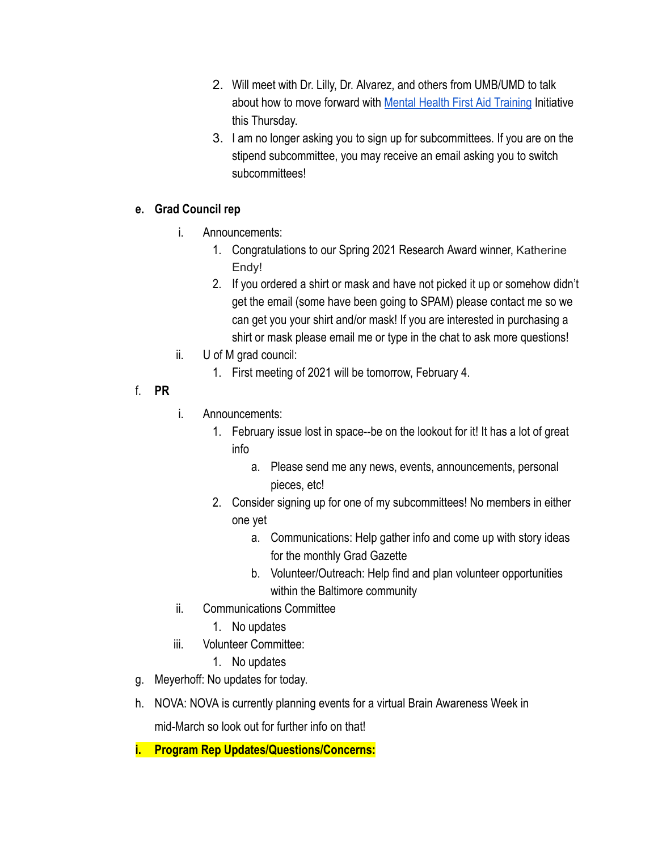- 2. Will meet with Dr. Lilly, Dr. Alvarez, and others from UMB/UMD to talk about how to move forward with [Mental Health First Aid Training](https://www.mentalhealthfirstaid.org/) Initiative this Thursday.
- 3. I am no longer asking you to sign up for subcommittees. If you are on the stipend subcommittee, you may receive an email asking you to switch subcommittees!

### **e. Grad Council rep**

- i. Announcements:
	- 1. Congratulations to our Spring 2021 Research Award winner, Katherine Endy!
	- 2. If you ordered a shirt or mask and have not picked it up or somehow didn't get the email (some have been going to SPAM) please contact me so we can get you your shirt and/or mask! If you are interested in purchasing a shirt or mask please email me or type in the chat to ask more questions!
- ii. U of M grad council:
	- 1. First meeting of 2021 will be tomorrow, February 4.
- f. **PR**
- i. Announcements:
	- 1. February issue lost in space--be on the lookout for it! It has a lot of great info
		- a. Please send me any news, events, announcements, personal pieces, etc!
	- 2. Consider signing up for one of my subcommittees! No members in either one yet
		- a. Communications: Help gather info and come up with story ideas for the monthly Grad Gazette
		- b. Volunteer/Outreach: Help find and plan volunteer opportunities within the Baltimore community
- ii. Communications Committee
	- 1. No updates
- iii. Volunteer Committee:
	- 1. No updates
- g. Meyerhoff: No updates for today.
- h. NOVA: NOVA is currently planning events for a virtual Brain Awareness Week in

mid-March so look out for further info on that!

**i. Program Rep Updates/Questions/Concerns:**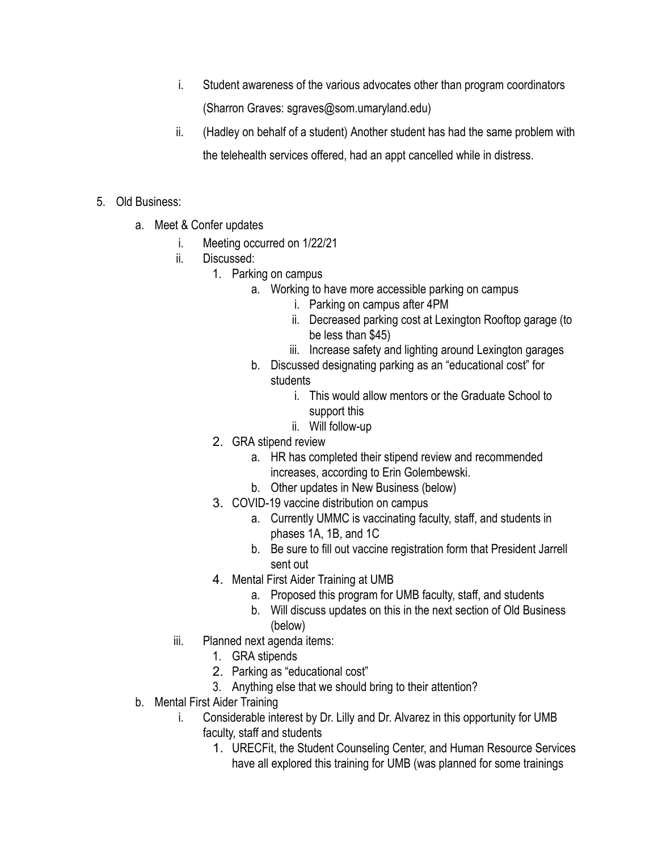- i. Student awareness of the various advocates other than program coordinators (Sharron Graves: sgraves@som.umaryland.edu)
- ii. (Hadley on behalf of a student) Another student has had the same problem with the telehealth services offered, had an appt cancelled while in distress.
- 5. Old Business:
	- a. Meet & Confer updates
		- i. Meeting occurred on 1/22/21
		- ii. Discussed:
			- 1. Parking on campus
				- a. Working to have more accessible parking on campus
					- i. Parking on campus after 4PM
					- ii. Decreased parking cost at Lexington Rooftop garage (to be less than \$45)
					- iii. Increase safety and lighting around Lexington garages
				- b. Discussed designating parking as an "educational cost" for students
					- i. This would allow mentors or the Graduate School to support this
					- ii. Will follow-up
			- 2. GRA stipend review
				- a. HR has completed their stipend review and recommended increases, according to Erin Golembewski.
				- b. Other updates in New Business (below)
			- 3. COVID-19 vaccine distribution on campus
				- a. Currently UMMC is vaccinating faculty, staff, and students in phases 1A, 1B, and 1C
				- b. Be sure to fill out vaccine registration form that President Jarrell sent out
			- 4. Mental First Aider Training at UMB
				- a. Proposed this program for UMB faculty, staff, and students
				- b. Will discuss updates on this in the next section of Old Business (below)
		- iii. Planned next agenda items:
			- 1. GRA stipends
			- 2. Parking as "educational cost"
			- 3. Anything else that we should bring to their attention?
	- b. Mental First Aider Training
		- i. Considerable interest by Dr. Lilly and Dr. Alvarez in this opportunity for UMB faculty, staff and students
			- 1. URECFit, the Student Counseling Center, and Human Resource Services have all explored this training for UMB (was planned for some trainings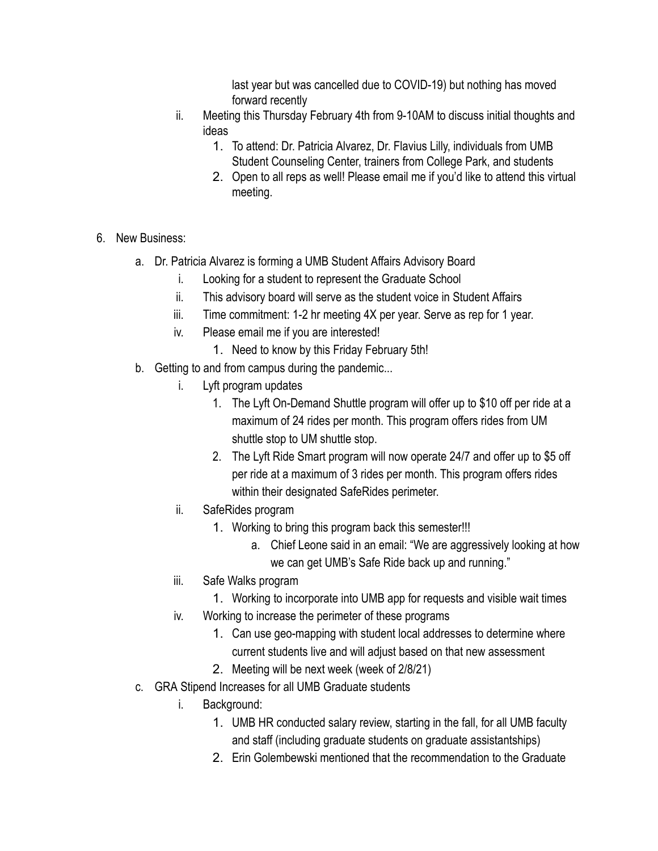last year but was cancelled due to COVID-19) but nothing has moved forward recently

- ii. Meeting this Thursday February 4th from 9-10AM to discuss initial thoughts and ideas
	- 1. To attend: Dr. Patricia Alvarez, Dr. Flavius Lilly, individuals from UMB Student Counseling Center, trainers from College Park, and students
	- 2. Open to all reps as well! Please email me if you'd like to attend this virtual meeting.
- 6. New Business:
	- a. Dr. Patricia Alvarez is forming a UMB Student Affairs Advisory Board
		- i. Looking for a student to represent the Graduate School
		- ii. This advisory board will serve as the student voice in Student Affairs
		- iii. Time commitment: 1-2 hr meeting 4X per year. Serve as rep for 1 year.
		- iv. Please email me if you are interested!
			- 1. Need to know by this Friday February 5th!
	- b. Getting to and from campus during the pandemic...
		- i. Lyft program updates
			- 1. The Lyft On-Demand Shuttle program will offer up to \$10 off per ride at a maximum of 24 rides per month. This program offers rides from UM shuttle stop to UM shuttle stop.
			- 2. The Lyft Ride Smart program will now operate 24/7 and offer up to \$5 off per ride at a maximum of 3 rides per month. This program offers rides within their designated SafeRides perimeter.
		- ii. SafeRides program
			- 1. Working to bring this program back this semester!!!
				- a. Chief Leone said in an email: "We are aggressively looking at how we can get UMB's Safe Ride back up and running."
		- iii. Safe Walks program
			- 1. Working to incorporate into UMB app for requests and visible wait times
		- iv. Working to increase the perimeter of these programs
			- 1. Can use geo-mapping with student local addresses to determine where current students live and will adjust based on that new assessment
			- 2. Meeting will be next week (week of 2/8/21)
	- c. GRA Stipend Increases for all UMB Graduate students
		- i. Background:
			- 1. UMB HR conducted salary review, starting in the fall, for all UMB faculty and staff (including graduate students on graduate assistantships)
			- 2. Erin Golembewski mentioned that the recommendation to the Graduate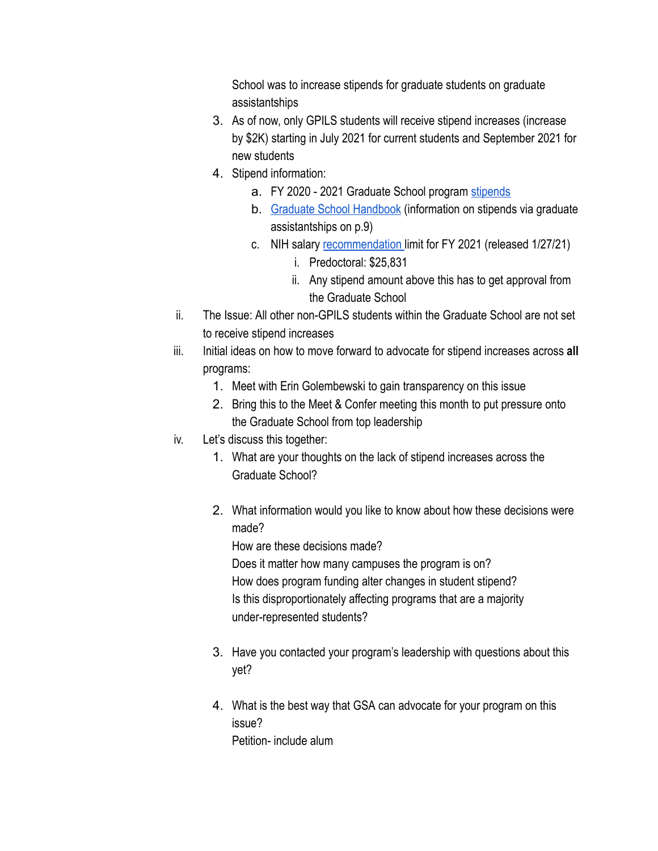School was to increase stipends for graduate students on graduate assistantships

- 3. As of now, only GPILS students will receive stipend increases (increase by \$2K) starting in July 2021 for current students and September 2021 for new students
- 4. Stipend information:
	- a. FY 2020 2021 Graduate School program [stipends](https://www.graduate.umaryland.edu/Costs-and-Aid/Graduate-Assistantships/)
	- b. [Graduate School Handbook](https://www.graduate.umaryland.edu/media/Graduate-School/GSA/Documents/GA_Guide2019-2020.pdf) (information on stipends via graduate assistantships on p.9)
	- c. NIH salary [recommendation](https://grants.nih.gov/grants/guide/notice-files/NOT-OD-21-049.html) limit for FY 2021 (released 1/27/21)
		- i. Predoctoral: \$25,831
		- ii. Any stipend amount above this has to get approval from the Graduate School
- ii. The Issue: All other non-GPILS students within the Graduate School are not set to receive stipend increases
- iii. Initial ideas on how to move forward to advocate for stipend increases across **all**  programs:
	- 1. Meet with Erin Golembewski to gain transparency on this issue
	- 2. Bring this to the Meet & Confer meeting this month to put pressure onto the Graduate School from top leadership
- iv. Let's discuss this together:
	- 1. What are your thoughts on the lack of stipend increases across the Graduate School?
	- 2. What information would you like to know about how these decisions were made? How are these decisions made? Does it matter how many campuses the program is on? How does program funding alter changes in student stipend?

Is this disproportionately affecting programs that are a majority under-represented students?

- 3. Have you contacted your program's leadership with questions about this yet?
- 4. What is the best way that GSA can advocate for your program on this issue? Petition- include alum